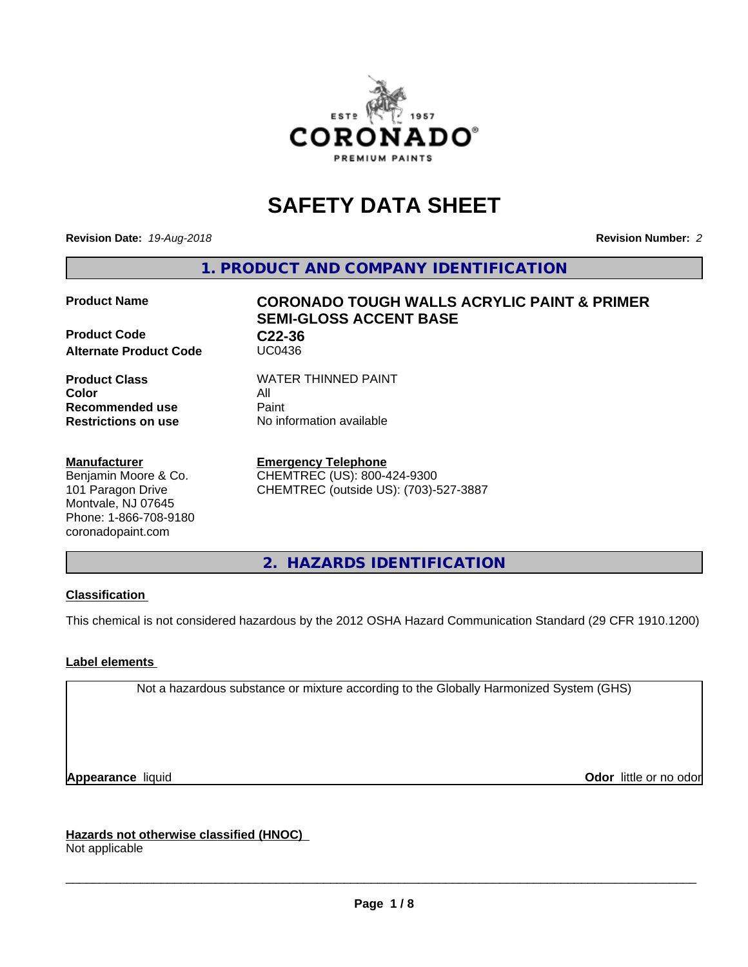

# **SAFETY DATA SHEET**

**Revision Date:** *19-Aug-2018* **Revision Number:** *2*

**1. PRODUCT AND COMPANY IDENTIFICATION**

#### **Product Name CORONADO TOUGH WALLS ACRYLIC PAINT & PRIMER**

**Product Code C22-36 Alternate Product Code** 

**Color** All **Recommended use Paint** 

**Manufacturer** Benjamin Moore & Co. 101 Paragon Drive Montvale, NJ 07645 Phone: 1-866-708-9180 coronadopaint.com

**Product Class WATER THINNED PAINT** 

**SEMI-GLOSS ACCENT BASE**

**Restrictions on use** No information available

**Emergency Telephone** CHEMTREC (US): 800-424-9300 CHEMTREC (outside US): (703)-527-3887

**2. HAZARDS IDENTIFICATION**

## **Classification**

This chemical is not considered hazardous by the 2012 OSHA Hazard Communication Standard (29 CFR 1910.1200)

## **Label elements**

Not a hazardous substance or mixture according to the Globally Harmonized System (GHS)

**Appearance** liquid **CODO** *Appearance liquid* **Odor** *CODO CODO* **<b>***CODO CODO CODO CODO CODO* 

**Hazards not otherwise classified (HNOC)** Not applicable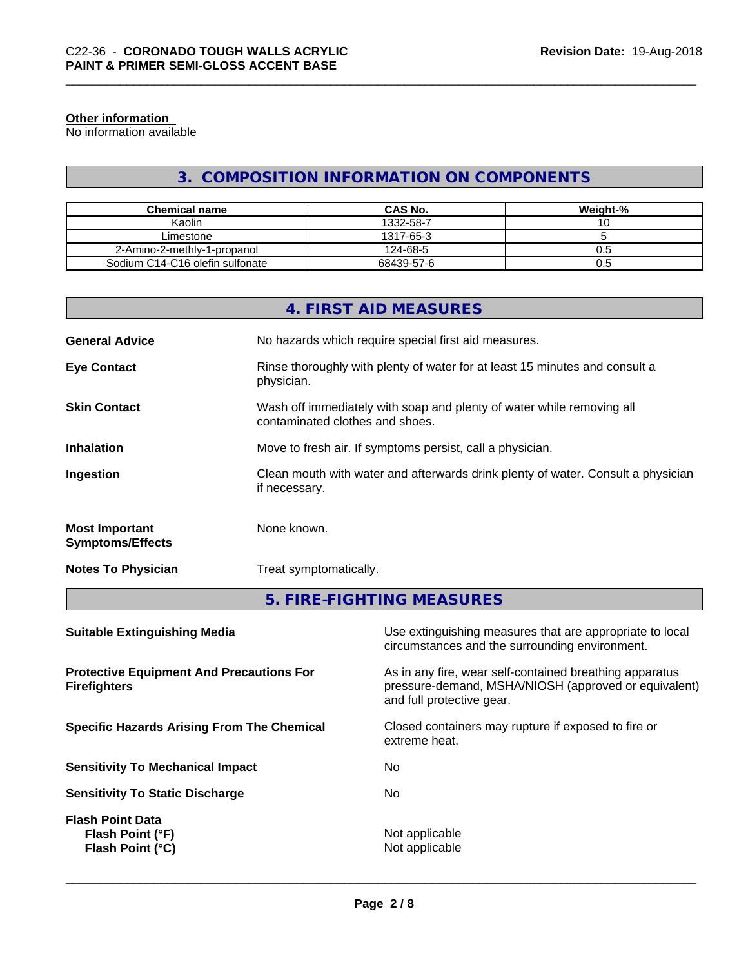#### **Other information**

No information available

# **3. COMPOSITION INFORMATION ON COMPONENTS**

| <b>Chemical name</b>            | <b>CAS No.</b> | Weight-% |
|---------------------------------|----------------|----------|
| Kaolin                          | 1332-58-7      |          |
| Limestone                       | 1317-65-3      |          |
| 2-Amino-2-methly-1-propanol     | 124-68-5       | U.G      |
| Sodium C14-C16 olefin sulfonate | 68439-57-6     | U.5      |

|                                                  | 4. FIRST AID MEASURES                                                                                    |
|--------------------------------------------------|----------------------------------------------------------------------------------------------------------|
| <b>General Advice</b>                            | No hazards which require special first aid measures.                                                     |
| <b>Eye Contact</b>                               | Rinse thoroughly with plenty of water for at least 15 minutes and consult a<br>physician.                |
| <b>Skin Contact</b>                              | Wash off immediately with soap and plenty of water while removing all<br>contaminated clothes and shoes. |
| <b>Inhalation</b>                                | Move to fresh air. If symptoms persist, call a physician.                                                |
| Ingestion                                        | Clean mouth with water and afterwards drink plenty of water. Consult a physician<br>if necessary.        |
| <b>Most Important</b><br><b>Symptoms/Effects</b> | None known.                                                                                              |
| <b>Notes To Physician</b>                        | Treat symptomatically.                                                                                   |
|                                                  | 5. FIRE-FIGHTING MEASURES                                                                                |

| Use extinguishing measures that are appropriate to local<br>circumstances and the surrounding environment.                                   |
|----------------------------------------------------------------------------------------------------------------------------------------------|
| As in any fire, wear self-contained breathing apparatus<br>pressure-demand, MSHA/NIOSH (approved or equivalent)<br>and full protective gear. |
| Closed containers may rupture if exposed to fire or<br>extreme heat.                                                                         |
| No.                                                                                                                                          |
| No.                                                                                                                                          |
| Not applicable<br>Not applicable                                                                                                             |
|                                                                                                                                              |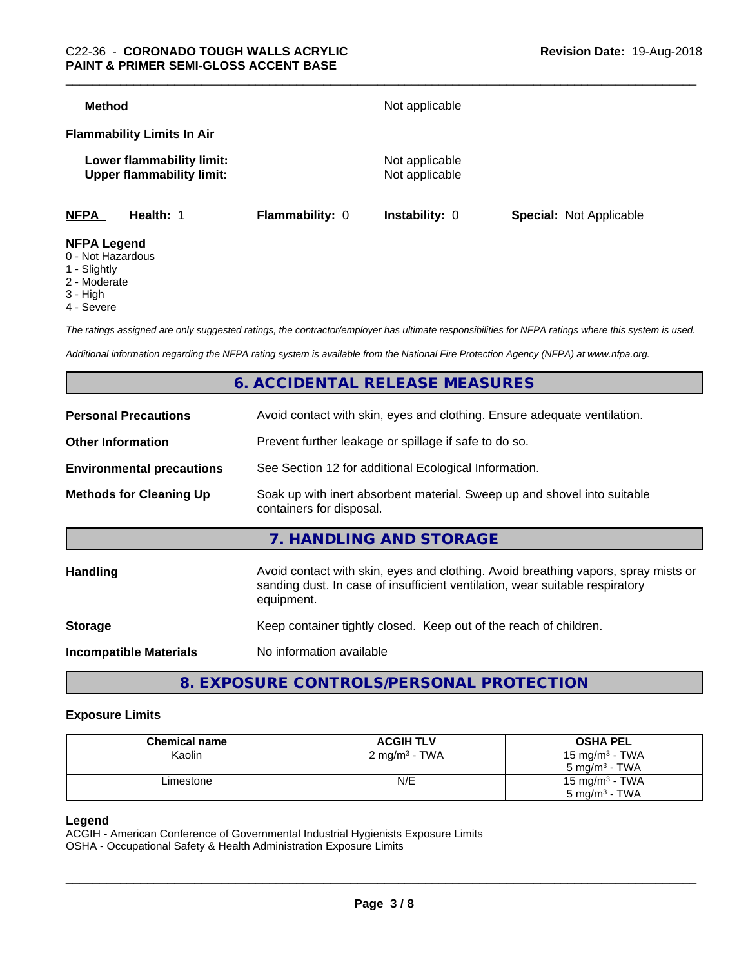| <b>Method</b>                                                 |                 | Not applicable                   |                                |
|---------------------------------------------------------------|-----------------|----------------------------------|--------------------------------|
| <b>Flammability Limits In Air</b>                             |                 |                                  |                                |
| Lower flammability limit:<br><b>Upper flammability limit:</b> |                 | Not applicable<br>Not applicable |                                |
| <b>NFPA</b><br>Health: 1                                      | Flammability: 0 | <b>Instability: 0</b>            | <b>Special: Not Applicable</b> |
| <b>NFPA Legend</b><br>0 - Not Hazardous                       |                 |                                  |                                |

- 1 Slightly
- 2 Moderate
- 3 High
- 
- 4 Severe

*The ratings assigned are only suggested ratings, the contractor/employer has ultimate responsibilities for NFPA ratings where this system is used.*

*Additional information regarding the NFPA rating system is available from the National Fire Protection Agency (NFPA) at www.nfpa.org.*

# **6. ACCIDENTAL RELEASE MEASURES**

| <b>Personal Precautions</b>      | Avoid contact with skin, eyes and clothing. Ensure adequate ventilation.                                                                                                         |  |  |
|----------------------------------|----------------------------------------------------------------------------------------------------------------------------------------------------------------------------------|--|--|
| <b>Other Information</b>         | Prevent further leakage or spillage if safe to do so.                                                                                                                            |  |  |
| <b>Environmental precautions</b> | See Section 12 for additional Ecological Information.                                                                                                                            |  |  |
| <b>Methods for Cleaning Up</b>   | Soak up with inert absorbent material. Sweep up and shovel into suitable<br>containers for disposal.                                                                             |  |  |
|                                  | 7. HANDLING AND STORAGE                                                                                                                                                          |  |  |
| Handling                         | Avoid contact with skin, eyes and clothing. Avoid breathing vapors, spray mists or<br>sanding dust. In case of insufficient ventilation, wear suitable respiratory<br>equipment. |  |  |
| <b>Storage</b>                   | Keep container tightly closed. Keep out of the reach of children.                                                                                                                |  |  |
| <b>Incompatible Materials</b>    | No information available                                                                                                                                                         |  |  |
|                                  |                                                                                                                                                                                  |  |  |

# **8. EXPOSURE CONTROLS/PERSONAL PROTECTION**

#### **Exposure Limits**

| <b>Chemical name</b> | <b>ACGIH TLV</b>          | <b>OSHA PEL</b>   |
|----------------------|---------------------------|-------------------|
| Kaolin               | 2 mg/m <sup>3</sup> - TWA | 15 mg/m $3$ - TWA |
|                      |                           | 5 mg/m $3$ - TWA  |
| ∟imestone            | N/E                       | 15 mg/m $3$ - TWA |
|                      |                           | 5 mg/m $^3$ - TWA |

#### **Legend**

ACGIH - American Conference of Governmental Industrial Hygienists Exposure Limits OSHA - Occupational Safety & Health Administration Exposure Limits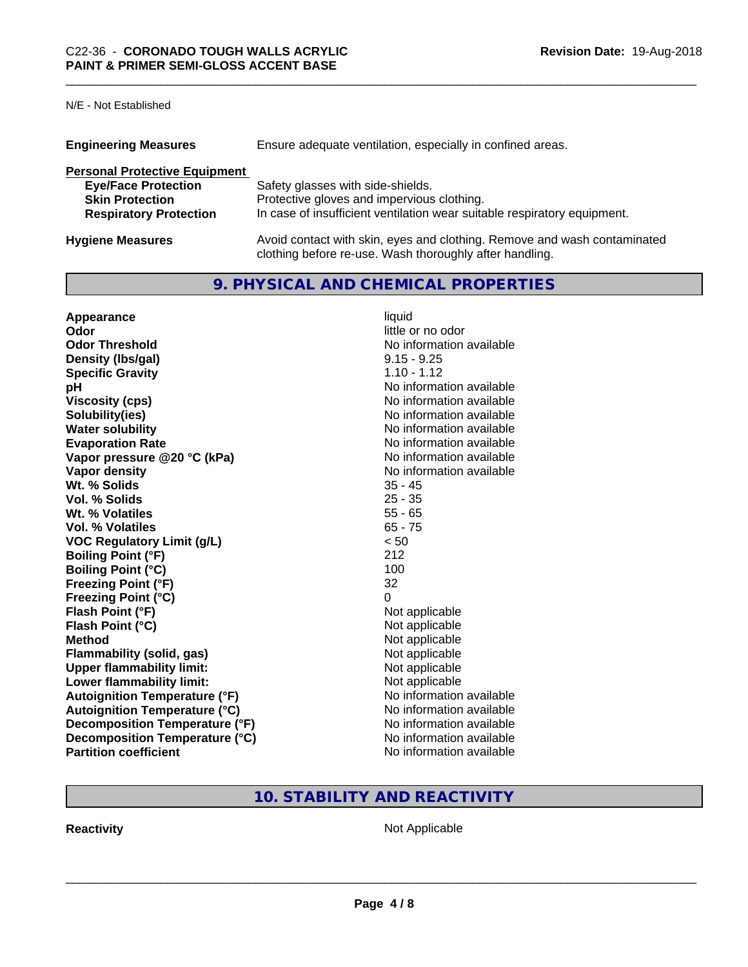## N/E - Not Established

| <b>Engineering Measures</b>          | Ensure adequate ventilation, especially in confined areas.                                                                          |  |  |
|--------------------------------------|-------------------------------------------------------------------------------------------------------------------------------------|--|--|
| <b>Personal Protective Equipment</b> |                                                                                                                                     |  |  |
| <b>Eye/Face Protection</b>           | Safety glasses with side-shields.                                                                                                   |  |  |
| <b>Skin Protection</b>               | Protective gloves and impervious clothing.                                                                                          |  |  |
| <b>Respiratory Protection</b>        | In case of insufficient ventilation wear suitable respiratory equipment.                                                            |  |  |
| <b>Hygiene Measures</b>              | Avoid contact with skin, eyes and clothing. Remove and wash contaminated<br>clothing before re-use. Wash thoroughly after handling. |  |  |

# **9. PHYSICAL AND CHEMICAL PROPERTIES**

| Appearance                           | liquid                   |
|--------------------------------------|--------------------------|
| Odor                                 | little or no odor        |
| <b>Odor Threshold</b>                | No information available |
| Density (Ibs/gal)                    | $9.15 - 9.25$            |
| <b>Specific Gravity</b>              | $1.10 - 1.12$            |
| рH                                   | No information available |
| <b>Viscosity (cps)</b>               | No information available |
| Solubility(ies)                      | No information available |
| <b>Water solubility</b>              | No information available |
| <b>Evaporation Rate</b>              | No information available |
| Vapor pressure @20 °C (kPa)          | No information available |
| <b>Vapor density</b>                 | No information available |
| Wt. % Solids                         | $35 - 45$                |
| Vol. % Solids                        | $25 - 35$                |
| Wt. % Volatiles                      | $55 - 65$                |
| Vol. % Volatiles                     | $65 - 75$                |
| <b>VOC Regulatory Limit (g/L)</b>    | < 50                     |
| <b>Boiling Point (°F)</b>            | 212                      |
| <b>Boiling Point (°C)</b>            | 100                      |
| <b>Freezing Point (°F)</b>           | 32                       |
| <b>Freezing Point (°C)</b>           | 0                        |
| Flash Point (°F)                     | Not applicable           |
| Flash Point (°C)                     | Not applicable           |
| <b>Method</b>                        | Not applicable           |
| <b>Flammability (solid, gas)</b>     | Not applicable           |
| <b>Upper flammability limit:</b>     | Not applicable           |
| Lower flammability limit:            | Not applicable           |
| <b>Autoignition Temperature (°F)</b> | No information available |
| <b>Autoignition Temperature (°C)</b> | No information available |
| Decomposition Temperature (°F)       | No information available |
| Decomposition Temperature (°C)       | No information available |
| <b>Partition coefficient</b>         | No information available |

# **10. STABILITY AND REACTIVITY**

**Reactivity Not Applicable** Not Applicable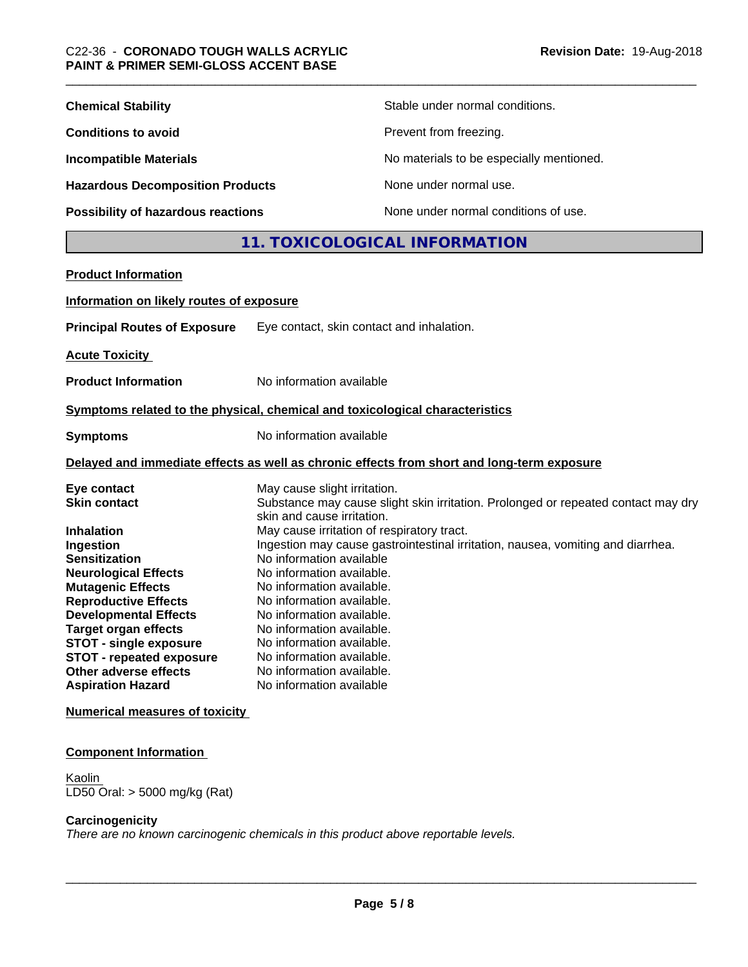| <b>Chemical Stability</b>                                                    |                                                                                 | Stable under normal conditions.                                                            |
|------------------------------------------------------------------------------|---------------------------------------------------------------------------------|--------------------------------------------------------------------------------------------|
| <b>Conditions to avoid</b>                                                   |                                                                                 | Prevent from freezing.                                                                     |
| <b>Incompatible Materials</b>                                                |                                                                                 | No materials to be especially mentioned.                                                   |
| <b>Hazardous Decomposition Products</b>                                      |                                                                                 | None under normal use.                                                                     |
|                                                                              |                                                                                 |                                                                                            |
| Possibility of hazardous reactions                                           |                                                                                 | None under normal conditions of use.                                                       |
|                                                                              |                                                                                 | 11. TOXICOLOGICAL INFORMATION                                                              |
| <b>Product Information</b>                                                   |                                                                                 |                                                                                            |
| Information on likely routes of exposure                                     |                                                                                 |                                                                                            |
| <b>Principal Routes of Exposure</b>                                          |                                                                                 | Eye contact, skin contact and inhalation.                                                  |
| <b>Acute Toxicity</b>                                                        |                                                                                 |                                                                                            |
|                                                                              |                                                                                 |                                                                                            |
| <b>Product Information</b>                                                   | No information available                                                        |                                                                                            |
| Symptoms related to the physical, chemical and toxicological characteristics |                                                                                 |                                                                                            |
| <b>Symptoms</b>                                                              | No information available                                                        |                                                                                            |
|                                                                              |                                                                                 | Delayed and immediate effects as well as chronic effects from short and long-term exposure |
| Eye contact                                                                  | May cause slight irritation.                                                    |                                                                                            |
| <b>Skin contact</b>                                                          |                                                                                 | Substance may cause slight skin irritation. Prolonged or repeated contact may dry          |
|                                                                              | skin and cause irritation.                                                      |                                                                                            |
| <b>Inhalation</b>                                                            | May cause irritation of respiratory tract.                                      |                                                                                            |
| Ingestion                                                                    | Ingestion may cause gastrointestinal irritation, nausea, vomiting and diarrhea. |                                                                                            |
| <b>Sensitization</b>                                                         | No information available                                                        |                                                                                            |
| <b>Neurological Effects</b>                                                  | No information available.                                                       |                                                                                            |
| <b>Mutagenic Effects</b>                                                     | No information available.                                                       |                                                                                            |
| <b>Reproductive Effects</b>                                                  | No information available.                                                       |                                                                                            |
| <b>Developmental Effects</b>                                                 | No information available.                                                       |                                                                                            |
| <b>Target organ effects</b>                                                  | No information available.                                                       |                                                                                            |
| <b>STOT - single exposure</b>                                                | No information available.                                                       |                                                                                            |
| <b>STOT - repeated exposure</b>                                              | No information available.                                                       |                                                                                            |
| Other adverse effects                                                        | No information available.                                                       |                                                                                            |

**Numerical measures of toxicity**

#### **Component Information**

**Other adverse effects<br>Aspiration Hazard** 

**Kaolin** LD50 Oral: > 5000 mg/kg (Rat)

#### **Carcinogenicity**

*There are no known carcinogenic chemicals in this product above reportable levels.*

**No information available**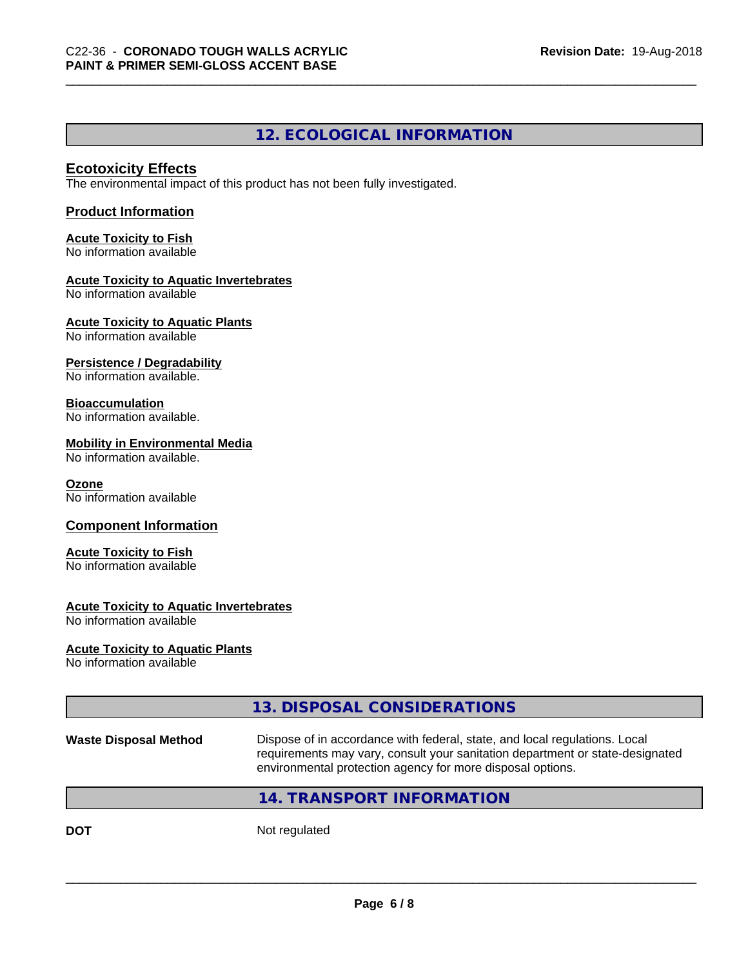# **12. ECOLOGICAL INFORMATION**

#### **Ecotoxicity Effects**

The environmental impact of this product has not been fully investigated.

#### **Product Information**

#### **Acute Toxicity to Fish** No information available

## **Acute Toxicity to Aquatic Invertebrates**

No information available

#### **Acute Toxicity to Aquatic Plants**

No information available

#### **Persistence / Degradability**

No information available.

#### **Bioaccumulation**

No information available.

## **Mobility in Environmental Media**

No information available.

#### **Ozone**

No information available

#### **Component Information**

#### **Acute Toxicity to Fish**

No information available

#### **Acute Toxicity to Aquatic Invertebrates**

No information available

#### **Acute Toxicity to Aquatic Plants**

No information available

|                       | 13. DISPOSAL CONSIDERATIONS                                                                                                                                                                                               |
|-----------------------|---------------------------------------------------------------------------------------------------------------------------------------------------------------------------------------------------------------------------|
| Waste Disposal Method | Dispose of in accordance with federal, state, and local regulations. Local<br>requirements may vary, consult your sanitation department or state-designated<br>environmental protection agency for more disposal options. |
|                       | 14. TRANSPORT INFORMATION                                                                                                                                                                                                 |
|                       |                                                                                                                                                                                                                           |

**DOT** Not regulated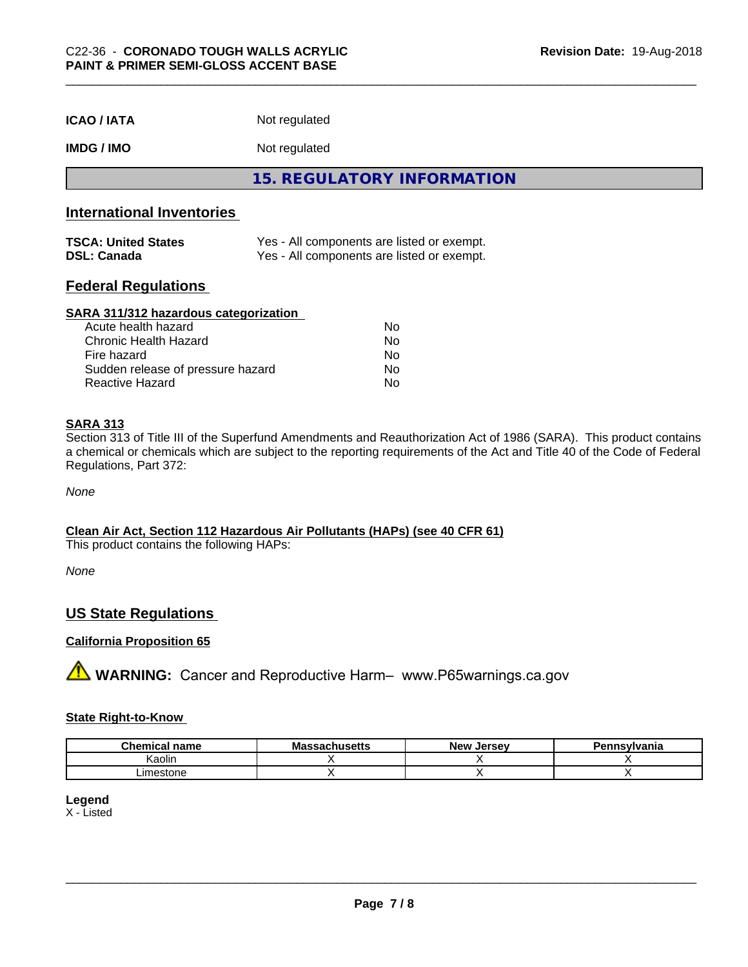| <b>ICAO / IATA</b> | Not regulated |  |
|--------------------|---------------|--|
|--------------------|---------------|--|

**IMDG / IMO** Not regulated

**15. REGULATORY INFORMATION**

# **International Inventories**

| <b>TSCA: United States</b> | Yes - All components are listed or exempt. |
|----------------------------|--------------------------------------------|
| <b>DSL: Canada</b>         | Yes - All components are listed or exempt. |

## **Federal Regulations**

#### **SARA 311/312 hazardous categorization**

| Acute health hazard               | N٥ |
|-----------------------------------|----|
| Chronic Health Hazard             | Nο |
| Fire hazard                       | Nο |
| Sudden release of pressure hazard | Nο |
| Reactive Hazard                   | N٥ |

#### **SARA 313**

Section 313 of Title III of the Superfund Amendments and Reauthorization Act of 1986 (SARA). This product contains a chemical or chemicals which are subject to the reporting requirements of the Act and Title 40 of the Code of Federal Regulations, Part 372:

*None*

#### **Clean Air Act,Section 112 Hazardous Air Pollutants (HAPs) (see 40 CFR 61)**

This product contains the following HAPs:

*None*

## **US State Regulations**

## **California Proposition 65**

**A** WARNING: Cancer and Reproductive Harm– www.P65warnings.ca.gov

#### **State Right-to-Know**

| $\sim$<br>hemical<br>name | .<br>Må<br>,,,,,,,,,,, | <b>Jerse</b> v<br><b>Nev</b> | Pennsvlvania |
|---------------------------|------------------------|------------------------------|--------------|
| .<br>. .<br>Kaolin        |                        |                              |              |
| _imestone                 |                        |                              |              |

## **Legend**

X - Listed